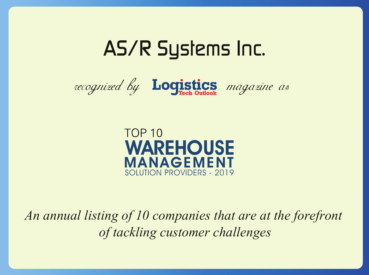# AS/R Systems Inc.





*An annual listing of 10 companies that are at the forefront of tackling customer challenges*